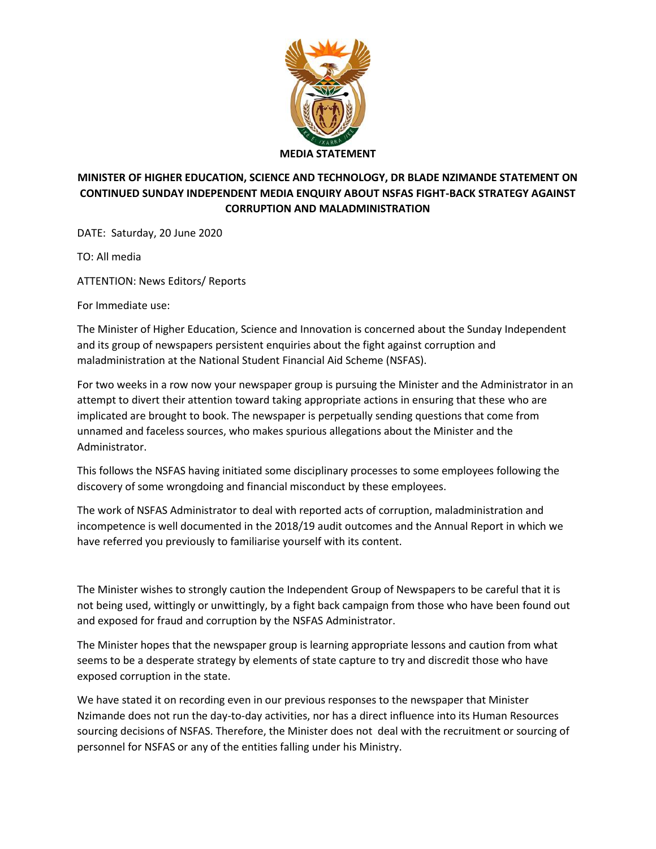

## **MINISTER OF HIGHER EDUCATION, SCIENCE AND TECHNOLOGY, DR BLADE NZIMANDE STATEMENT ON CONTINUED SUNDAY INDEPENDENT MEDIA ENQUIRY ABOUT NSFAS FIGHT-BACK STRATEGY AGAINST CORRUPTION AND MALADMINISTRATION**

DATE: Saturday, 20 June 2020

TO: All media

ATTENTION: News Editors/ Reports

For Immediate use:

The Minister of Higher Education, Science and Innovation is concerned about the Sunday Independent and its group of newspapers persistent enquiries about the fight against corruption and maladministration at the National Student Financial Aid Scheme (NSFAS).

For two weeks in a row now your newspaper group is pursuing the Minister and the Administrator in an attempt to divert their attention toward taking appropriate actions in ensuring that these who are implicated are brought to book. The newspaper is perpetually sending questions that come from unnamed and faceless sources, who makes spurious allegations about the Minister and the Administrator.

This follows the NSFAS having initiated some disciplinary processes to some employees following the discovery of some wrongdoing and financial misconduct by these employees.

The work of NSFAS Administrator to deal with reported acts of corruption, maladministration and incompetence is well documented in the 2018/19 audit outcomes and the Annual Report in which we have referred you previously to familiarise yourself with its content.

The Minister wishes to strongly caution the Independent Group of Newspapers to be careful that it is not being used, wittingly or unwittingly, by a fight back campaign from those who have been found out and exposed for fraud and corruption by the NSFAS Administrator.

The Minister hopes that the newspaper group is learning appropriate lessons and caution from what seems to be a desperate strategy by elements of state capture to try and discredit those who have exposed corruption in the state.

We have stated it on recording even in our previous responses to the newspaper that Minister Nzimande does not run the day-to-day activities, nor has a direct influence into its Human Resources sourcing decisions of NSFAS. Therefore, the Minister does not deal with the recruitment or sourcing of personnel for NSFAS or any of the entities falling under his Ministry.